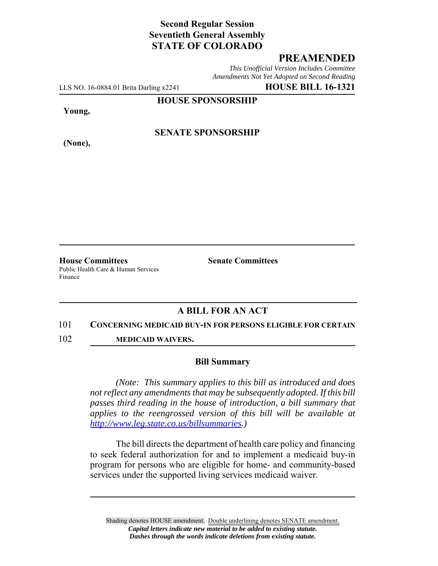# **Second Regular Session Seventieth General Assembly STATE OF COLORADO**

## **PREAMENDED**

*This Unofficial Version Includes Committee Amendments Not Yet Adopted on Second Reading*

LLS NO. 16-0884.01 Brita Darling x2241 **HOUSE BILL 16-1321**

**HOUSE SPONSORSHIP**

**Young,**

**(None),**

## **SENATE SPONSORSHIP**

**House Committees Senate Committees** Public Health Care & Human Services Finance

## **A BILL FOR AN ACT**

#### 101 **CONCERNING MEDICAID BUY-IN FOR PERSONS ELIGIBLE FOR CERTAIN**

102 **MEDICAID WAIVERS.**

#### **Bill Summary**

*(Note: This summary applies to this bill as introduced and does not reflect any amendments that may be subsequently adopted. If this bill passes third reading in the house of introduction, a bill summary that applies to the reengrossed version of this bill will be available at http://www.leg.state.co.us/billsummaries.)*

The bill directs the department of health care policy and financing to seek federal authorization for and to implement a medicaid buy-in program for persons who are eligible for home- and community-based services under the supported living services medicaid waiver.

Shading denotes HOUSE amendment. Double underlining denotes SENATE amendment. *Capital letters indicate new material to be added to existing statute. Dashes through the words indicate deletions from existing statute.*